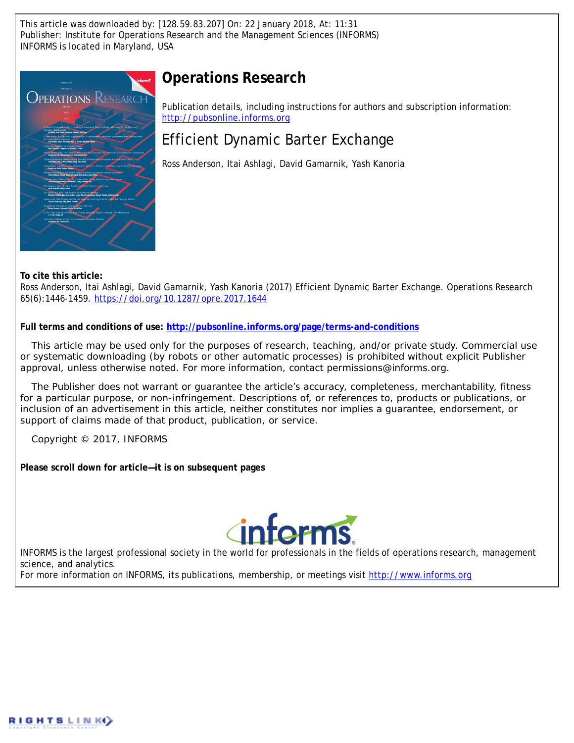This article was downloaded by: [128.59.83.207] On: 22 January 2018, At: 11:31 Publisher: Institute for Operations Research and the Management Sciences (INFORMS) INFORMS is located in Maryland, USA



# **Operations Research**

Publication details, including instructions for authors and subscription information: <http://pubsonline.informs.org>

# Efficient Dynamic Barter Exchange

Ross Anderson, Itai Ashlagi, David Gamarnik, Yash Kanoria

**To cite this article:**

Ross Anderson, Itai Ashlagi, David Gamarnik, Yash Kanoria (2017) Efficient Dynamic Barter Exchange. Operations Research 65(6):1446-1459. <https://doi.org/10.1287/opre.2017.1644>

**Full terms and conditions of use: <http://pubsonline.informs.org/page/terms-and-conditions>**

This article may be used only for the purposes of research, teaching, and/or private study. Commercial use or systematic downloading (by robots or other automatic processes) is prohibited without explicit Publisher approval, unless otherwise noted. For more information, contact permissions@informs.org.

The Publisher does not warrant or guarantee the article's accuracy, completeness, merchantability, fitness for a particular purpose, or non-infringement. Descriptions of, or references to, products or publications, or inclusion of an advertisement in this article, neither constitutes nor implies a guarantee, endorsement, or support of claims made of that product, publication, or service.

Copyright © 2017, INFORMS

**Please scroll down for article—it is on subsequent pages**



INFORMS is the largest professional society in the world for professionals in the fields of operations research, management science, and analytics.

For more information on INFORMS, its publications, membership, or meetings visit <http://www.informs.org>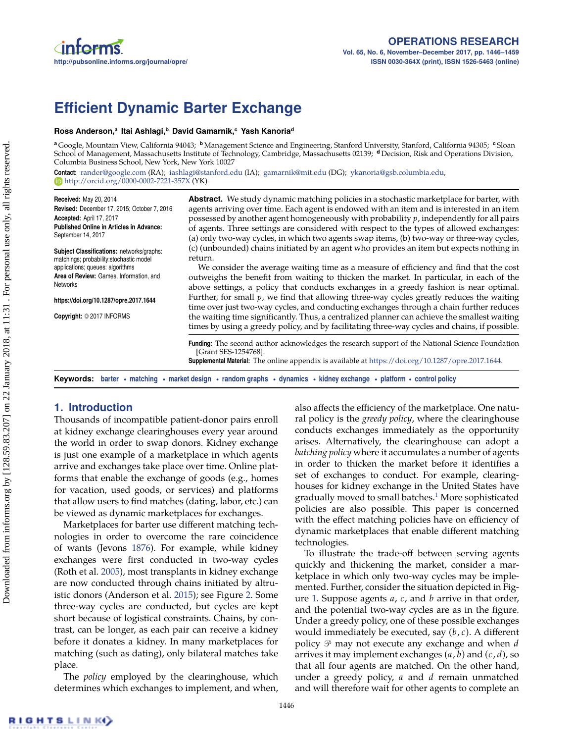# **Efficient Dynamic Barter Exchange**

#### **Ross Anderson,<sup>a</sup> Itai Ashlagi,<sup>b</sup> David Gamarnik,<sup>c</sup> Yash Kanoria<sup>d</sup>**

**<sup>a</sup>** Google, Mountain View, California 94043; **<sup>b</sup>** Management Science and Engineering, Stanford University, Stanford, California 94305; **<sup>c</sup>** Sloan School of Management, Massachusetts Institute of Technology, Cambridge, Massachusetts 02139; **<sup>d</sup>** Decision, Risk and Operations Division, Columbia Business School, New York, New York 10027

**Contact:** [rander@google.com](mailto:rander@google.com) (RA); [iashlagi@stanford.edu](mailto:iashlagi@stanford.edu) (IA); [gamarnik@mit.edu](mailto:gamarnik@mit.edu) (DG); [ykanoria@gsb.columbia.edu,](mailto:ykanoria@gsb.columbia.edu) **<http://orcid.org/0000-0002-7221-357X> (YK)** 

| <b>Received: May 20, 2014</b><br>Revised: December 17, 2015; October 7, 2016<br>Accepted: April 17, 2017<br><b>Published Online in Articles in Advance:</b><br>September 14, 2017<br><b>Subject Classifications: networks/graphs:</b><br>matchings; probability:stochastic model<br>applications; queues: algorithms<br>Area of Review: Games, Information, and<br>Networks<br>https://doi.org/10.1287/opre.2017.1644<br>Copyright: © 2017 INFORMS | <b>Abstract.</b> We study dynamic matching policies in a stochastic marketplace for barter, with<br>agents arriving over time. Each agent is endowed with an item and is interested in an item<br>possessed by another agent homogeneously with probability $p$ , independently for all pairs<br>of agents. Three settings are considered with respect to the types of allowed exchanges:<br>(a) only two-way cycles, in which two agents swap items, (b) two-way or three-way cycles,<br>(c) (unbounded) chains initiated by an agent who provides an item but expects nothing in<br>return.<br>We consider the average waiting time as a measure of efficiency and find that the cost<br>outweighs the benefit from waiting to thicken the market. In particular, in each of the<br>above settings, a policy that conducts exchanges in a greedy fashion is near optimal.<br>Further, for small $p$ , we find that allowing three-way cycles greatly reduces the waiting<br>time over just two-way cycles, and conducting exchanges through a chain further reduces<br>the waiting time significantly. Thus, a centralized planner can achieve the smallest waiting<br>times by using a greedy policy, and by facilitating three-way cycles and chains, if possible. |
|----------------------------------------------------------------------------------------------------------------------------------------------------------------------------------------------------------------------------------------------------------------------------------------------------------------------------------------------------------------------------------------------------------------------------------------------------|------------------------------------------------------------------------------------------------------------------------------------------------------------------------------------------------------------------------------------------------------------------------------------------------------------------------------------------------------------------------------------------------------------------------------------------------------------------------------------------------------------------------------------------------------------------------------------------------------------------------------------------------------------------------------------------------------------------------------------------------------------------------------------------------------------------------------------------------------------------------------------------------------------------------------------------------------------------------------------------------------------------------------------------------------------------------------------------------------------------------------------------------------------------------------------------------------------------------------------------------------------------------|
|                                                                                                                                                                                                                                                                                                                                                                                                                                                    | <b>Funding:</b> The second author acknowledges the research support of the National Science Foundation<br>[Grant SES-1254768].<br><b>Supplemental Material:</b> The online appendix is available at https://doi.org/10.1287/opre.2017.1644.                                                                                                                                                                                                                                                                                                                                                                                                                                                                                                                                                                                                                                                                                                                                                                                                                                                                                                                                                                                                                            |

Keywords: barter • matching • market design • random graphs • dynamics • kidney exchange • platform • control policy

# **1. Introduction**

Thousands of incompatible patient-donor pairs enroll at kidney exchange clearinghouses every year around the world in order to swap donors. Kidney exchange is just one example of a marketplace in which agents arrive and exchanges take place over time. Online platforms that enable the exchange of goods (e.g., homes for vacation, used goods, or services) and platforms that allow users to find matches (dating, labor, etc.) can be viewed as dynamic marketplaces for exchanges.

Marketplaces for barter use different matching technologies in order to overcome the rare coincidence of wants (Jevons [1876\)](#page-14-0). For example, while kidney exchanges were first conducted in two-way cycles (Roth et al. [2005\)](#page-14-1), most transplants in kidney exchange are now conducted through chains initiated by altruistic donors (Anderson et al. [2015\)](#page-14-2); see Figure [2.](#page-2-0) Some three-way cycles are conducted, but cycles are kept short because of logistical constraints. Chains, by contrast, can be longer, as each pair can receive a kidney before it donates a kidney. In many marketplaces for matching (such as dating), only bilateral matches take place.

The *policy* employed by the clearinghouse, which determines which exchanges to implement, and when,

also affects the efficiency of the marketplace. One natural policy is the *greedy policy*, where the clearinghouse conducts exchanges immediately as the opportunity arises. Alternatively, the clearinghouse can adopt a *batching policy* where it accumulates a number of agents in order to thicken the market before it identifies a set of exchanges to conduct. For example, clearinghouses for kidney exchange in the United States have gradually moved to small batches.<sup>[1](#page-13-0)</sup> More sophisticated policies are also possible. This paper is concerned with the effect matching policies have on efficiency of dynamic marketplaces that enable different matching technologies.

<span id="page-1-0"></span>To illustrate the trade-off between serving agents quickly and thickening the market, consider a marketplace in which only two-way cycles may be implemented. Further, consider the situation depicted in Figure [1.](#page-2-1) Suppose agents *a*, *c*, and *b* arrive in that order, and the potential two-way cycles are as in the figure. Under a greedy policy, one of these possible exchanges would immediately be executed, say (*b*, *c*). A different policy P may not execute any exchange and when *d* arrives it may implement exchanges (*a*, *b*) and (*c*, *d*), so that all four agents are matched. On the other hand, under a greedy policy, *a* and *d* remain unmatched and will therefore wait for other agents to complete an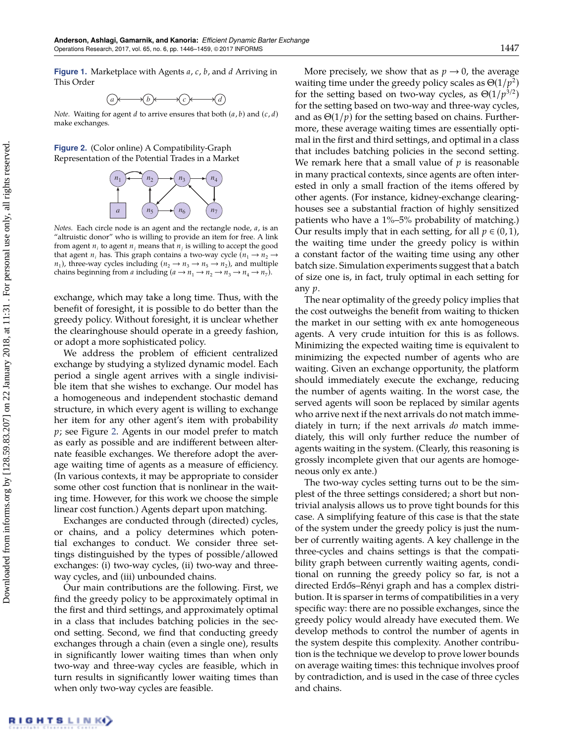**Figure 1.** Marketplace with Agents *a*, *c*, *b*, and *d* Arriving in This Order

<span id="page-2-1"></span>

*Note.* Waiting for agent *d* to arrive ensures that both (*a*, *b*) and (*c*, *d*) make exchanges.

**Figure 2.** (Color online) A Compatibility-Graph Representation of the Potential Trades in a Market

<span id="page-2-0"></span>

*Notes.* Each circle node is an agent and the rectangle node, *a*, is an "altruistic donor" who is willing to provide an item for free. A link from agent  $n_i$  to agent  $n_j$  means that  $n_j$  is willing to accept the good that agent  $n_i$  has. This graph contains a two-way cycle  $(n_1 \rightarrow n_2 \rightarrow$ *n*<sub>1</sub>), three-way cycles including  $(n_2 \rightarrow n_3 \rightarrow n_5 \rightarrow n_2)$ , and multiple chains beginning from *a* including  $(a \rightarrow n_1 \rightarrow n_2 \rightarrow n_3 \rightarrow n_4 \rightarrow n_7)$ .

exchange, which may take a long time. Thus, with the benefit of foresight, it is possible to do better than the greedy policy. Without foresight, it is unclear whether the clearinghouse should operate in a greedy fashion, or adopt a more sophisticated policy.

We address the problem of efficient centralized exchange by studying a stylized dynamic model. Each period a single agent arrives with a single indivisible item that she wishes to exchange. Our model has a homogeneous and independent stochastic demand structure, in which every agent is willing to exchange her item for any other agent's item with probability *p*; see Figure [2.](#page-2-0) Agents in our model prefer to match as early as possible and are indifferent between alternate feasible exchanges. We therefore adopt the average waiting time of agents as a measure of efficiency. (In various contexts, it may be appropriate to consider some other cost function that is nonlinear in the waiting time. However, for this work we choose the simple linear cost function.) Agents depart upon matching.

Exchanges are conducted through (directed) cycles, or chains, and a policy determines which potential exchanges to conduct. We consider three settings distinguished by the types of possible/allowed exchanges: (i) two-way cycles, (ii) two-way and threeway cycles, and (iii) unbounded chains.

Our main contributions are the following. First, we find the greedy policy to be approximately optimal in the first and third settings, and approximately optimal in a class that includes batching policies in the second setting. Second, we find that conducting greedy exchanges through a chain (even a single one), results in significantly lower waiting times than when only two-way and three-way cycles are feasible, which in turn results in significantly lower waiting times than when only two-way cycles are feasible.

More precisely, we show that as  $p \rightarrow 0$ , the average waiting time under the greedy policy scales as  $\Theta(1/p^2)$ for the setting based on two-way cycles, as  $\Theta(1/p^{3/2})$ for the setting based on two-way and three-way cycles, and as  $\Theta(1/p)$  for the setting based on chains. Furthermore, these average waiting times are essentially optimal in the first and third settings, and optimal in a class that includes batching policies in the second setting. We remark here that a small value of *p* is reasonable in many practical contexts, since agents are often interested in only a small fraction of the items offered by other agents. (For instance, kidney-exchange clearinghouses see a substantial fraction of highly sensitized patients who have a 1%–5% probability of matching.) Our results imply that in each setting, for all  $p \in (0, 1)$ , the waiting time under the greedy policy is within a constant factor of the waiting time using any other batch size. Simulation experiments suggest that a batch of size one is, in fact, truly optimal in each setting for any *p*.

The near optimality of the greedy policy implies that the cost outweighs the benefit from waiting to thicken the market in our setting with ex ante homogeneous agents. A very crude intuition for this is as follows. Minimizing the expected waiting time is equivalent to minimizing the expected number of agents who are waiting. Given an exchange opportunity, the platform should immediately execute the exchange, reducing the number of agents waiting. In the worst case, the served agents will soon be replaced by similar agents who arrive next if the next arrivals do not match immediately in turn; if the next arrivals *do* match immediately, this will only further reduce the number of agents waiting in the system. (Clearly, this reasoning is grossly incomplete given that our agents are homogeneous only ex ante.)

The two-way cycles setting turns out to be the simplest of the three settings considered; a short but nontrivial analysis allows us to prove tight bounds for this case. A simplifying feature of this case is that the state of the system under the greedy policy is just the number of currently waiting agents. A key challenge in the three-cycles and chains settings is that the compatibility graph between currently waiting agents, conditional on running the greedy policy so far, is not a directed Erdős–Rényi graph and has a complex distribution. It is sparser in terms of compatibilities in a very specific way: there are no possible exchanges, since the greedy policy would already have executed them. We develop methods to control the number of agents in the system despite this complexity. Another contribution is the technique we develop to prove lower bounds on average waiting times: this technique involves proof by contradiction, and is used in the case of three cycles and chains.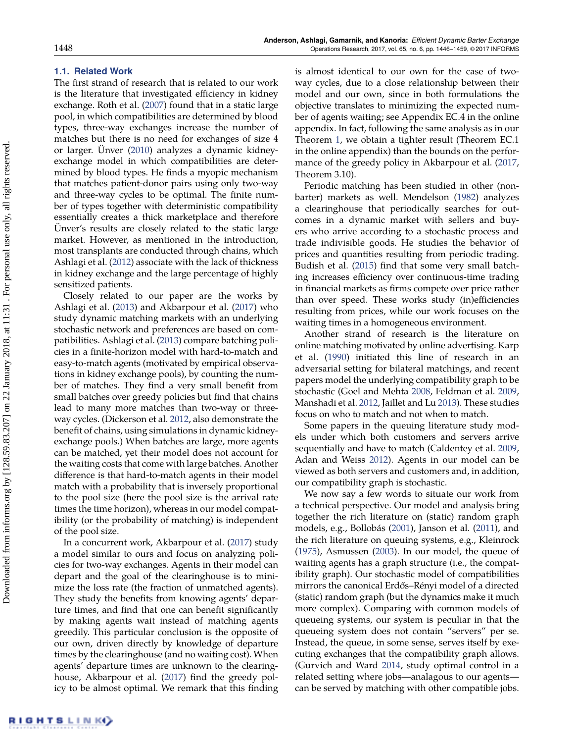# **1.1. Related Work**

The first strand of research that is related to our work is the literature that investigated efficiency in kidney exchange. Roth et al. [\(2007\)](#page-14-3) found that in a static large pool, in which compatibilities are determined by blood types, three-way exchanges increase the number of matches but there is no need for exchanges of size 4 or larger. Ünver [\(2010\)](#page-14-4) analyzes a dynamic kidneyexchange model in which compatibilities are determined by blood types. He finds a myopic mechanism that matches patient-donor pairs using only two-way and three-way cycles to be optimal. The finite number of types together with deterministic compatibility essentially creates a thick marketplace and therefore Ünver's results are closely related to the static large market. However, as mentioned in the introduction, most transplants are conducted through chains, which Ashlagi et al. [\(2012\)](#page-14-5) associate with the lack of thickness in kidney exchange and the large percentage of highly sensitized patients.

Closely related to our paper are the works by Ashlagi et al. [\(2013\)](#page-14-6) and Akbarpour et al. [\(2017\)](#page-13-1) who study dynamic matching markets with an underlying stochastic network and preferences are based on compatibilities. Ashlagi et al. [\(2013\)](#page-14-6) compare batching policies in a finite-horizon model with hard-to-match and easy-to-match agents (motivated by empirical observations in kidney exchange pools), by counting the number of matches. They find a very small benefit from small batches over greedy policies but find that chains lead to many more matches than two-way or threeway cycles. (Dickerson et al. [2012,](#page-14-7) also demonstrate the benefit of chains, using simulations in dynamic kidneyexchange pools.) When batches are large, more agents can be matched, yet their model does not account for the waiting costs that come with large batches. Another difference is that hard-to-match agents in their model match with a probability that is inversely proportional to the pool size (here the pool size is the arrival rate times the time horizon), whereas in our model compatibility (or the probability of matching) is independent of the pool size.

In a concurrent work, Akbarpour et al. [\(2017\)](#page-13-1) study a model similar to ours and focus on analyzing policies for two-way exchanges. Agents in their model can depart and the goal of the clearinghouse is to minimize the loss rate (the fraction of unmatched agents). They study the benefits from knowing agents' departure times, and find that one can benefit significantly by making agents wait instead of matching agents greedily. This particular conclusion is the opposite of our own, driven directly by knowledge of departure times by the clearinghouse (and no waiting cost). When agents' departure times are unknown to the clearinghouse, Akbarpour et al. [\(2017\)](#page-13-1) find the greedy policy to be almost optimal. We remark that this finding is almost identical to our own for the case of twoway cycles, due to a close relationship between their model and our own, since in both formulations the objective translates to minimizing the expected number of agents waiting; see Appendix EC.4 in the online appendix. In fact, following the same analysis as in our Theorem [1,](#page-6-0) we obtain a tighter result (Theorem EC.1 in the online appendix) than the bounds on the performance of the greedy policy in Akbarpour et al. [\(2017,](#page-13-1) Theorem 3.10).

Periodic matching has been studied in other (nonbarter) markets as well. Mendelson [\(1982\)](#page-14-8) analyzes a clearinghouse that periodically searches for outcomes in a dynamic market with sellers and buyers who arrive according to a stochastic process and trade indivisible goods. He studies the behavior of prices and quantities resulting from periodic trading. Budish et al. [\(2015\)](#page-14-9) find that some very small batching increases efficiency over continuous-time trading in financial markets as firms compete over price rather than over speed. These works study (in)efficiencies resulting from prices, while our work focuses on the waiting times in a homogeneous environment.

Another strand of research is the literature on online matching motivated by online advertising. Karp et al. [\(1990\)](#page-14-10) initiated this line of research in an adversarial setting for bilateral matchings, and recent papers model the underlying compatibility graph to be stochastic (Goel and Mehta [2008,](#page-14-11) Feldman et al. [2009,](#page-14-12) Manshadi et al. [2012,](#page-14-13) Jaillet and Lu [2013\)](#page-14-14). These studies focus on who to match and not when to match.

Some papers in the queuing literature study models under which both customers and servers arrive sequentially and have to match (Caldentey et al. [2009,](#page-14-15) Adan and Weiss [2012\)](#page-13-2). Agents in our model can be viewed as both servers and customers and, in addition, our compatibility graph is stochastic.

We now say a few words to situate our work from a technical perspective. Our model and analysis bring together the rich literature on (static) random graph models, e.g., Bollobás [\(2001\)](#page-14-16), Janson et al. [\(2011\)](#page-14-17), and the rich literature on queuing systems, e.g., Kleinrock [\(1975\)](#page-14-18), Asmussen [\(2003\)](#page-14-19). In our model, the queue of waiting agents has a graph structure (i.e., the compatibility graph). Our stochastic model of compatibilities mirrors the canonical Erdős–Rényi model of a directed (static) random graph (but the dynamics make it much more complex). Comparing with common models of queueing systems, our system is peculiar in that the queueing system does not contain "servers" per se. Instead, the queue, in some sense, serves itself by executing exchanges that the compatibility graph allows. (Gurvich and Ward [2014,](#page-14-20) study optimal control in a related setting where jobs—analagous to our agents can be served by matching with other compatible jobs.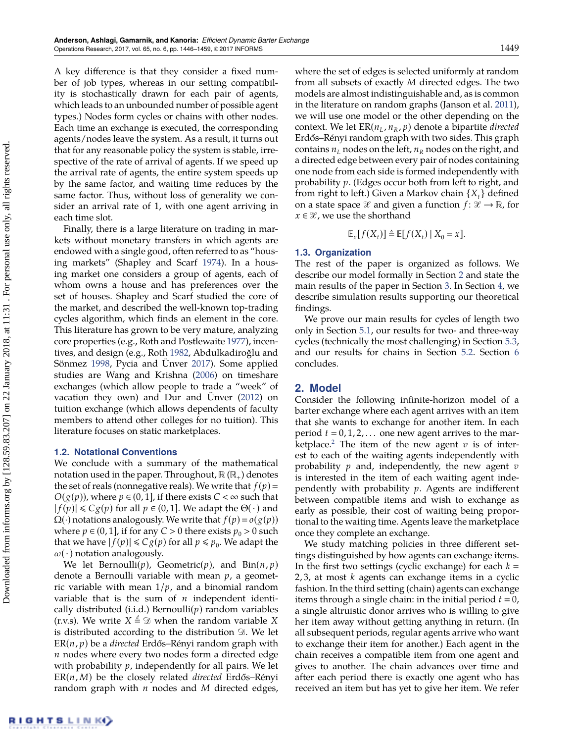A key difference is that they consider a fixed number of job types, whereas in our setting compatibility is stochastically drawn for each pair of agents, which leads to an unbounded number of possible agent types.) Nodes form cycles or chains with other nodes. Each time an exchange is executed, the corresponding agents/nodes leave the system. As a result, it turns out that for any reasonable policy the system is stable, irrespective of the rate of arrival of agents. If we speed up the arrival rate of agents, the entire system speeds up by the same factor, and waiting time reduces by the same factor. Thus, without loss of generality we consider an arrival rate of 1, with one agent arriving in each time slot.

Finally, there is a large literature on trading in markets without monetary transfers in which agents are endowed with a single good, often referred to as "housing markets" (Shapley and Scarf [1974\)](#page-14-21). In a housing market one considers a group of agents, each of whom owns a house and has preferences over the set of houses. Shapley and Scarf studied the core of the market, and described the well-known top-trading cycles algorithm, which finds an element in the core. This literature has grown to be very mature, analyzing core properties (e.g., Roth and Postlewaite [1977\)](#page-14-22), incentives, and design (e.g., Roth [1982,](#page-14-23) Abdulkadiroğlu and Sönmez [1998,](#page-13-3) Pycia and Ünver [2017\)](#page-14-24). Some applied studies are Wang and Krishna [\(2006\)](#page-14-25) on timeshare exchanges (which allow people to trade a "week" of vacation they own) and Dur and Ünver [\(2012\)](#page-14-26) on tuition exchange (which allows dependents of faculty members to attend other colleges for no tuition). This literature focuses on static marketplaces.

### **1.2. Notational Conventions**

We conclude with a summary of the mathematical notation used in the paper. Throughout,  $\mathbb{R}\left(\mathbb{R}_{+}\right)$  denotes the set of reals (nonnegative reals). We write that  $f(p)$  =  $O(g(p))$ , where  $p \in (0, 1]$ , if there exists  $C < \infty$  such that  $|f(p)| \leq C g(p)$  for all  $p \in (0,1]$ . We adapt the  $\Theta(\cdot)$  and  $\Omega(\cdot)$  notations analogously. We write that  $f(p) = o(g(p))$ where  $p \in (0, 1]$ , if for any  $C > 0$  there exists  $p_0 > 0$  such that we have  $|f(p)| \leqslant C g(p)$  for all  $p \leqslant p_0$ . We adapt the  $\omega(\cdot)$  notation analogously.

We let Bernoulli(*p*), Geometric(*p*), and Bin(*n*, *p*) denote a Bernoulli variable with mean *p*, a geometric variable with mean  $1/p$ , and a binomial random variable that is the sum of *n* independent identically distributed (i.i.d.) Bernoulli(*p*) random variables (r.v.s). We write  $X \stackrel{d}{=} \mathcal{D}$  when the random variable *X* is distributed according to the distribution  $\mathcal{D}$ . We let ER(*n*, *p*) be a *directed* Erdős–Rényi random graph with *n* nodes where every two nodes form a directed edge with probability *p*, independently for all pairs. We let ER(*n*, *M*) be the closely related *directed* Erdős–Rényi random graph with *n* nodes and *M* directed edges,

where the set of edges is selected uniformly at random from all subsets of exactly *M* directed edges. The two models are almost indistinguishable and, as is common in the literature on random graphs (Janson et al. [2011\)](#page-14-17), we will use one model or the other depending on the context. We let ER(*n<sup>L</sup>* , *n<sup>R</sup>* , *p*) denote a bipartite *directed* Erdős–Rényi random graph with two sides. This graph contains  $n_L$  nodes on the left,  $n_R$  nodes on the right, and a directed edge between every pair of nodes containing one node from each side is formed independently with probability *p*. (Edges occur both from left to right, and from right to left.) Given a Markov chain  $\{X_t\}$  defined on a state space  $\mathcal X$  and given a function  $f: \mathcal X \to \mathbb R$ , for  $x \in \mathcal{X}$ , we use the shorthand

$$
\mathbb{E}_x[f(X_t)] \triangleq \mathbb{E}[f(X_t) | X_0 = x].
$$

#### **1.3. Organization**

The rest of the paper is organized as follows. We describe our model formally in Section [2](#page-4-0) and state the main results of the paper in Section [3.](#page-6-1) In Section [4,](#page-7-0) we describe simulation results supporting our theoretical findings.

We prove our main results for cycles of length two only in Section [5.1,](#page-9-0) our results for two- and three-way cycles (technically the most challenging) in Section [5.3,](#page-11-0) and our results for chains in Section [5.2.](#page-10-0) Section [6](#page-12-0) concludes.

### <span id="page-4-0"></span>**2. Model**

<span id="page-4-1"></span>Consider the following infinite-horizon model of a barter exchange where each agent arrives with an item that she wants to exchange for another item. In each period  $t = 0, 1, 2, \ldots$  one new agent arrives to the mar-ketplace.<sup>[2](#page-13-4)</sup> The item of the new agent  $v$  is of interest to each of the waiting agents independently with probability *p* and, independently, the new agent *v* is interested in the item of each waiting agent independently with probability *p*. Agents are indifferent between compatible items and wish to exchange as early as possible, their cost of waiting being proportional to the waiting time. Agents leave the marketplace once they complete an exchange.

We study matching policies in three different settings distinguished by how agents can exchange items. In the first two settings (cyclic exchange) for each *k* 2, 3, at most *k* agents can exchange items in a cyclic fashion. In the third setting (chain) agents can exchange items through a single chain: in the initial period  $t = 0$ , a single altruistic donor arrives who is willing to give her item away without getting anything in return. (In all subsequent periods, regular agents arrive who want to exchange their item for another.) Each agent in the chain receives a compatible item from one agent and gives to another. The chain advances over time and after each period there is exactly one agent who has received an item but has yet to give her item. We refer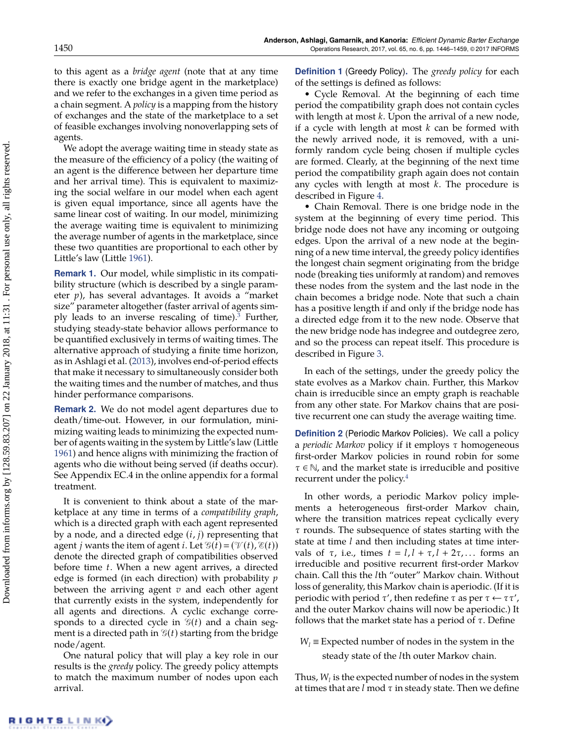to this agent as a *bridge agent* (note that at any time there is exactly one bridge agent in the marketplace) and we refer to the exchanges in a given time period as a chain segment. A *policy* is a mapping from the history of exchanges and the state of the marketplace to a set of feasible exchanges involving nonoverlapping sets of agents.

We adopt the average waiting time in steady state as the measure of the efficiency of a policy (the waiting of an agent is the difference between her departure time and her arrival time). This is equivalent to maximizing the social welfare in our model when each agent is given equal importance, since all agents have the same linear cost of waiting. In our model, minimizing the average waiting time is equivalent to minimizing the average number of agents in the marketplace, since these two quantities are proportional to each other by Little's law (Little [1961\)](#page-14-27).

**Remark 1.** Our model, while simplistic in its compatibility structure (which is described by a single parameter *p*), has several advantages. It avoids a "market size" parameter altogether (faster arrival of agents simply leads to an inverse rescaling of time). $3$  Further, studying steady-state behavior allows performance to be quantified exclusively in terms of waiting times. The alternative approach of studying a finite time horizon, as in Ashlagi et al. [\(2013\)](#page-14-6), involves end-of-period effects that make it necessary to simultaneously consider both the waiting times and the number of matches, and thus hinder performance comparisons.

**Remark 2.** We do not model agent departures due to death/time-out. However, in our formulation, minimizing waiting leads to minimizing the expected number of agents waiting in the system by Little's law (Little [1961\)](#page-14-27) and hence aligns with minimizing the fraction of agents who die without being served (if deaths occur). See Appendix EC.4 in the online appendix for a formal treatment.

It is convenient to think about a state of the marketplace at any time in terms of a *compatibility graph*, which is a directed graph with each agent represented by a node, and a directed edge (*i*, *j*) representing that agent *j* wants the item of agent *i*. Let  $\mathcal{G}(t) = (\mathcal{V}(t), \mathcal{E}(t))$ denote the directed graph of compatibilities observed before time *t*. When a new agent arrives, a directed edge is formed (in each direction) with probability *p* between the arriving agent *v* and each other agent that currently exists in the system, independently for all agents and directions. A cyclic exchange corresponds to a directed cycle in  $\mathcal{G}(t)$  and a chain segment is a directed path in  $\mathcal{G}(t)$  starting from the bridge node/agent.

<span id="page-5-0"></span>One natural policy that will play a key role in our results is the *greedy* policy. The greedy policy attempts to match the maximum number of nodes upon each arrival.

**Definition 1** (Greedy Policy)**.** The *greedy policy* for each of the settings is defined as follows:

• Cycle Removal. At the beginning of each time period the compatibility graph does not contain cycles with length at most *k*. Upon the arrival of a new node, if a cycle with length at most *k* can be formed with the newly arrived node, it is removed, with a uniformly random cycle being chosen if multiple cycles are formed. Clearly, at the beginning of the next time period the compatibility graph again does not contain any cycles with length at most *k*. The procedure is described in Figure [4.](#page-6-2)

• Chain Removal. There is one bridge node in the system at the beginning of every time period. This bridge node does not have any incoming or outgoing edges. Upon the arrival of a new node at the beginning of a new time interval, the greedy policy identifies the longest chain segment originating from the bridge node (breaking ties uniformly at random) and removes these nodes from the system and the last node in the chain becomes a bridge node. Note that such a chain has a positive length if and only if the bridge node has a directed edge from it to the new node. Observe that the new bridge node has indegree and outdegree zero, and so the process can repeat itself. This procedure is described in Figure [3.](#page-6-3)

<span id="page-5-2"></span>In each of the settings, under the greedy policy the state evolves as a Markov chain. Further, this Markov chain is irreducible since an empty graph is reachable from any other state. For Markov chains that are positive recurrent one can study the average waiting time.

<span id="page-5-1"></span>**Definition 2** (Periodic Markov Policies)**.** We call a policy a *periodic Markov* policy if it employs τ homogeneous first-order Markov policies in round robin for some  $\tau \in \mathbb{N}$ , and the market state is irreducible and positive recurrent under the policy.<sup>[4](#page-13-6)</sup>

<span id="page-5-3"></span>In other words, a periodic Markov policy implements a heterogeneous first-order Markov chain, where the transition matrices repeat cyclically every  $\tau$  rounds. The subsequence of states starting with the state at time *l* and then including states at time intervals of  $\tau$ , i.e., times  $t = l$ ,  $l + \tau$ ,  $l + 2\tau$ ,... forms an irreducible and positive recurrent first-order Markov chain. Call this the *l*th "outer" Markov chain. Without loss of generality, this Markov chain is aperiodic. (If it is periodic with period τ', then redefine τ as per  $\tau \leftarrow \tau \tau'$ , and the outer Markov chains will now be aperiodic.) It follows that the market state has a period of  $\tau$ . Define

 $W_l$  ≡ Expected number of nodes in the system in the steady state of the *l*th outer Markov chain.

Thus,  $W_l$  is the expected number of nodes in the system at times that are *l* mod τ in steady state. Then we define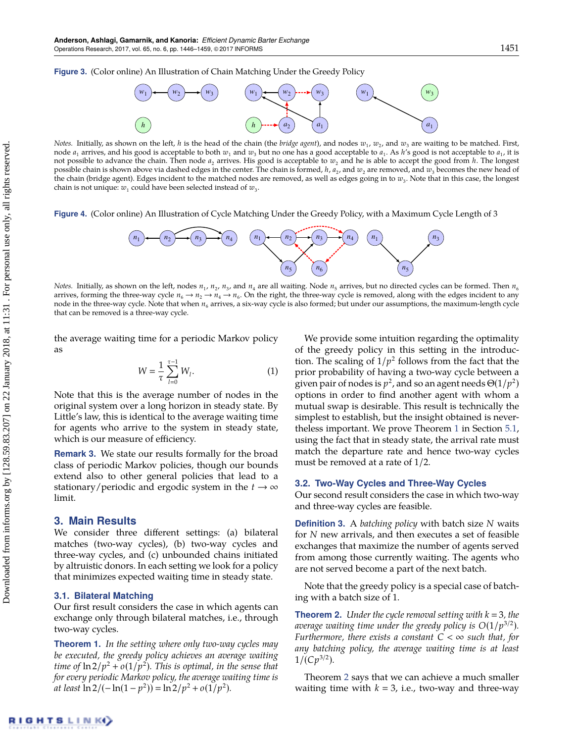**Figure 3.** (Color online) An Illustration of Chain Matching Under the Greedy Policy

<span id="page-6-3"></span>

*Notes.* Initially, as shown on the left, *h* is the head of the chain (the *bridge agent*), and nodes *w*<sup>1</sup> , *w*<sup>2</sup> , and *w*<sup>3</sup> are waiting to be matched. First, node  $a_1$  arrives, and his good is acceptable to both  $w_1$  and  $w_3$  but no one has a good acceptable to  $a_1.$  As  $h$ 's good is not acceptable to  $a_1$ , it is not possible to advance the chain. Then node  $a_2$  arrives. His good is acceptable to  $w_2$  and he is able to accept the good from *h*. The longest possible chain is shown above via dashed edges in the center. The chain is formed*, h, a<sub>2</sub>,* and  $w_2$  are removed, and  $w_3$  becomes the new head of the chain (bridge agent). Edges incident to the matched nodes are removed, as well as edges going in to  $w_3$ . Note that in this case, the longest chain is not unique:  $w_1$  could have been selected instead of  $w_3$ .

**Figure 4.** (Color online) An Illustration of Cycle Matching Under the Greedy Policy, with a Maximum Cycle Length of 3

<span id="page-6-2"></span>

*Notes.* Initially, as shown on the left, nodes  $n_1$ ,  $n_2$ ,  $n_3$ , and  $n_4$  are all waiting. Node  $n_5$  arrives, but no directed cycles can be formed. Then  $n_6$ arrives, forming the three-way cycle  $n_6 \to n_2 \to n_4 \to n_6$ . On the right, the three-way cycle is removed, along with the edges incident to any node in the three-way cycle. Note that when  $n_6$  arrives, a six-way cycle is also formed; but under our assumptions, the maximum-length cycle that can be removed is a three-way cycle.

the average waiting time for a periodic Markov policy as

$$
W = \frac{1}{\tau} \sum_{l=0}^{\tau-1} W_l.
$$
 (1)

Note that this is the average number of nodes in the original system over a long horizon in steady state. By Little's law, this is identical to the average waiting time for agents who arrive to the system in steady state, which is our measure of efficiency.

**Remark 3.** We state our results formally for the broad class of periodic Markov policies, though our bounds extend also to other general policies that lead to a stationary/periodic and ergodic system in the  $t \to \infty$ limit.

## <span id="page-6-1"></span>**3. Main Results**

We consider three different settings: (a) bilateral matches (two-way cycles), (b) two-way cycles and three-way cycles, and (c) unbounded chains initiated by altruistic donors. In each setting we look for a policy that minimizes expected waiting time in steady state.

#### **3.1. Bilateral Matching**

Our first result considers the case in which agents can exchange only through bilateral matches, i.e., through two-way cycles.

<span id="page-6-0"></span>**Theorem 1.** *In the setting where only two-way cycles may be executed, the greedy policy achieves an average waiting time of*  $\ln 2/p^2 + o(1/p^2)$ . This is optimal, in the sense that *for every periodic Markov policy, the average waiting time is*  $\int \frac{dx}{\ln 2}$   $\ln 2 / (-\ln(1-p^2)) = \ln 2/p^2 + o(1/p^2)$ .

We provide some intuition regarding the optimality of the greedy policy in this setting in the introduction. The scaling of  $1/p^2$  follows from the fact that the prior probability of having a two-way cycle between a given pair of nodes is  $p^2$ , and so an agent needs  $\Theta(1/p^2)$ options in order to find another agent with whom a mutual swap is desirable. This result is technically the simplest to establish, but the insight obtained is nevertheless important. We prove Theorem [1](#page-6-0) in Section [5.1,](#page-9-0) using the fact that in steady state, the arrival rate must match the departure rate and hence two-way cycles must be removed at a rate of 1/2.

#### **3.2. Two-Way Cycles and Three-Way Cycles**

Our second result considers the case in which two-way and three-way cycles are feasible.

**Definition 3.** A *batching policy* with batch size *N* waits for *N* new arrivals, and then executes a set of feasible exchanges that maximize the number of agents served from among those currently waiting. The agents who are not served become a part of the next batch.

Note that the greedy policy is a special case of batching with a batch size of 1.

<span id="page-6-4"></span>**Theorem 2.** *Under the cycle removal setting with*  $k = 3$ *, the average waiting time under the greedy policy is*  $O(1/p^{3/2})$ *. Furthermore, there exists a constant*  $C < \infty$  *such that, for any batching policy, the average waiting time is at least*  $1/(Cp^{3/2})$ .

Theorem [2](#page-6-4) says that we can achieve a much smaller waiting time with  $k = 3$ , i.e., two-way and three-way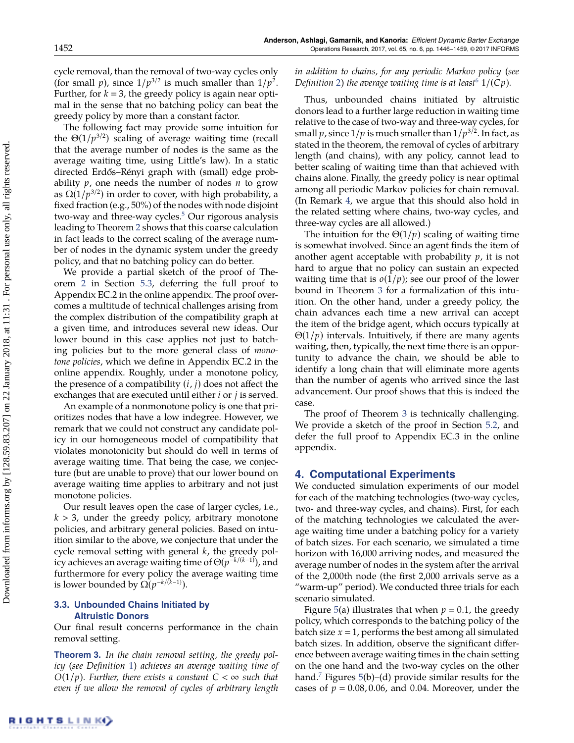cycle removal, than the removal of two-way cycles only (for small *p*), since  $1/p^{3/2}$  is much smaller than  $1/p^2$ . Further, for  $k = 3$ , the greedy policy is again near optimal in the sense that no batching policy can beat the greedy policy by more than a constant factor.

The following fact may provide some intuition for the  $\Theta(1/p^{3/2})$  scaling of average waiting time (recall that the average number of nodes is the same as the average waiting time, using Little's law). In a static directed Erdős–Rényi graph with (small) edge probability *p*, one needs the number of nodes *n* to grow as  $\Omega(1/p^{3/2})$  in order to cover, with high probability, a fixed fraction (e.g., 50%) of the nodes with node disjoint two-way and three-way cycles.<sup>[5](#page-13-7)</sup> Our rigorous analysis leading to Theorem [2](#page-6-4) shows that this coarse calculation in fact leads to the correct scaling of the average number of nodes in the dynamic system under the greedy policy, and that no batching policy can do better.

We provide a partial sketch of the proof of Theorem [2](#page-6-4) in Section [5.3,](#page-11-0) deferring the full proof to Appendix EC.2 in the online appendix. The proof overcomes a multitude of technical challenges arising from the complex distribution of the compatibility graph at a given time, and introduces several new ideas. Our lower bound in this case applies not just to batching policies but to the more general class of *monotone policies*, which we define in Appendix EC.2 in the online appendix. Roughly, under a monotone policy, the presence of a compatibility (*i*, *j*) does not affect the exchanges that are executed until either *i* or *j* is served.

An example of a nonmonotone policy is one that prioritizes nodes that have a low indegree. However, we remark that we could not construct any candidate policy in our homogeneous model of compatibility that violates monotonicity but should do well in terms of average waiting time. That being the case, we conjecture (but are unable to prove) that our lower bound on average waiting time applies to arbitrary and not just monotone policies.

Our result leaves open the case of larger cycles, i.e.,  $k > 3$ , under the greedy policy, arbitrary monotone policies, and arbitrary general policies. Based on intuition similar to the above, we conjecture that under the cycle removal setting with general *k*, the greedy policy achieves an average waiting time of Θ(*p* −*k*/(*k*−1) ), and furthermore for every policy the average waiting time is lower bounded by  $\Omega(p^{-k/(k-1)})$ .

### **3.3. Unbounded Chains Initiated by Altruistic Donors**

Our final result concerns performance in the chain removal setting.

<span id="page-7-1"></span>**Theorem 3.** *In the chain removal setting, the greedy policy (see Definition [1\)](#page-5-0) achieves an average waiting time of O*( $1/p$ )*. Further, there exists a constant*  $C < \infty$  *such that even if we allow the removal of cycles of arbitrary length* <span id="page-7-3"></span>*in addition to chains, for any periodic Markov policy (see Definition* [2\)](#page-5-1) *the average waiting time is at least*<sup>[6](#page-13-8)</sup>  $1/(Cp)$ *.* 

Thus, unbounded chains initiated by altruistic donors lead to a further large reduction in waiting time relative to the case of two-way and three-way cycles, for small *p*, since 1/*p* is much smaller than 1/*p* 3/2 . In fact, as stated in the theorem, the removal of cycles of arbitrary length (and chains), with any policy, cannot lead to better scaling of waiting time than that achieved with chains alone. Finally, the greedy policy is near optimal among all periodic Markov policies for chain removal. (In Remark [4,](#page-11-1) we argue that this should also hold in the related setting where chains, two-way cycles, and three-way cycles are all allowed.)

<span id="page-7-2"></span>The intuition for the  $\Theta(1/p)$  scaling of waiting time is somewhat involved. Since an agent finds the item of another agent acceptable with probability *p*, it is not hard to argue that no policy can sustain an expected waiting time that is  $o(1/p)$ ; see our proof of the lower bound in Theorem [3](#page-7-1) for a formalization of this intuition. On the other hand, under a greedy policy, the chain advances each time a new arrival can accept the item of the bridge agent, which occurs typically at  $\Theta(1/p)$  intervals. Intuitively, if there are many agents waiting, then, typically, the next time there is an opportunity to advance the chain, we should be able to identify a long chain that will eliminate more agents than the number of agents who arrived since the last advancement. Our proof shows that this is indeed the case.

The proof of Theorem [3](#page-7-1) is technically challenging. We provide a sketch of the proof in Section [5.2,](#page-10-0) and defer the full proof to Appendix EC.3 in the online appendix.

# <span id="page-7-0"></span>**4. Computational Experiments**

We conducted simulation experiments of our model for each of the matching technologies (two-way cycles, two- and three-way cycles, and chains). First, for each of the matching technologies we calculated the average waiting time under a batching policy for a variety of batch sizes. For each scenario, we simulated a time horizon with 16,000 arriving nodes, and measured the average number of nodes in the system after the arrival of the 2,000th node (the first 2,000 arrivals serve as a "warm-up" period). We conducted three trials for each scenario simulated.

<span id="page-7-4"></span>Figure [5\(](#page-8-0)a) illustrates that when  $p = 0.1$ , the greedy policy, which corresponds to the batching policy of the batch size  $x = 1$ , performs the best among all simulated batch sizes. In addition, observe the significant difference between average waiting times in the chain setting on the one hand and the two-way cycles on the other hand.<sup>[7](#page-13-9)</sup> Figures  $5(b)$  $5(b)$ –(d) provide similar results for the cases of  $p = 0.08, 0.06$ , and 0.04. Moreover, under the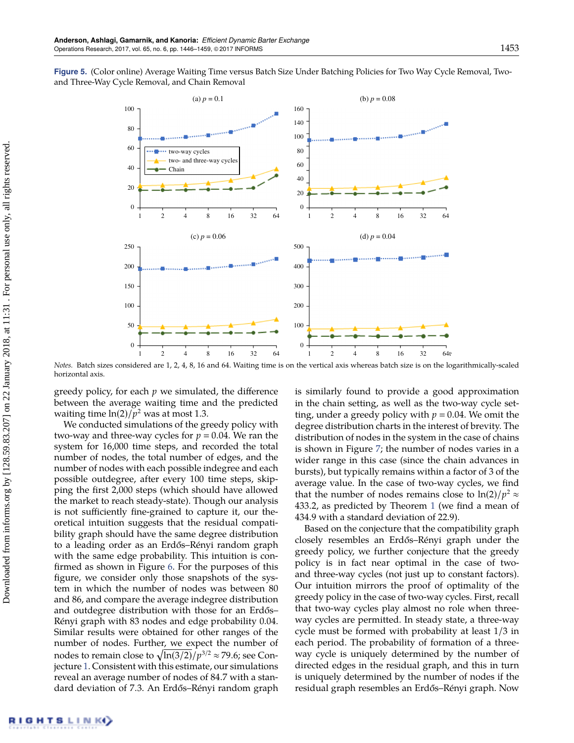

<span id="page-8-0"></span>

*Notes.* Batch sizes considered are 1, 2, 4, 8, 16 and 64. Waiting time is on the vertical axis whereas batch size is on the logarithmically-scaled horizontal axis.

greedy policy, for each *p* we simulated, the difference between the average waiting time and the predicted waiting time  $\ln(2)/p^2$  was at most 1.3.

We conducted simulations of the greedy policy with two-way and three-way cycles for  $p = 0.04$ . We ran the system for 16,000 time steps, and recorded the total number of nodes, the total number of edges, and the number of nodes with each possible indegree and each possible outdegree, after every 100 time steps, skipping the first 2,000 steps (which should have allowed the market to reach steady-state). Though our analysis is not sufficiently fine-grained to capture it, our theoretical intuition suggests that the residual compatibility graph should have the same degree distribution to a leading order as an Erdős–Rényi random graph with the same edge probability. This intuition is confirmed as shown in Figure [6.](#page-9-1) For the purposes of this figure, we consider only those snapshots of the system in which the number of nodes was between 80 and 86, and compare the average indegree distribution and outdegree distribution with those for an Erdős– Rényi graph with 83 nodes and edge probability 0.04. Similar results were obtained for other ranges of the number of nodes. Further, we expect the number of nodes to remain close to  $\sqrt{\ln(3/2)}/p^{3/2} \approx 79.6$ ; see Conjecture [1.](#page-12-1) Consistent with this estimate, our simulations reveal an average number of nodes of 84.7 with a standard deviation of 7.3. An Erdős–Rényi random graph is similarly found to provide a good approximation in the chain setting, as well as the two-way cycle setting, under a greedy policy with  $p = 0.04$ . We omit the degree distribution charts in the interest of brevity. The distribution of nodes in the system in the case of chains is shown in Figure [7;](#page-9-2) the number of nodes varies in a wider range in this case (since the chain advances in bursts), but typically remains within a factor of 3 of the average value. In the case of two-way cycles, we find that the number of nodes remains close to  $\ln(2)/p^2 \approx$ 433.2, as predicted by Theorem [1](#page-6-0) (we find a mean of 434.9 with a standard deviation of 22.9).

Based on the conjecture that the compatibility graph closely resembles an Erdős–Rényi graph under the greedy policy, we further conjecture that the greedy policy is in fact near optimal in the case of twoand three-way cycles (not just up to constant factors). Our intuition mirrors the proof of optimality of the greedy policy in the case of two-way cycles. First, recall that two-way cycles play almost no role when threeway cycles are permitted. In steady state, a three-way cycle must be formed with probability at least 1/3 in each period. The probability of formation of a threeway cycle is uniquely determined by the number of directed edges in the residual graph, and this in turn is uniquely determined by the number of nodes if the residual graph resembles an Erdős–Rényi graph. Now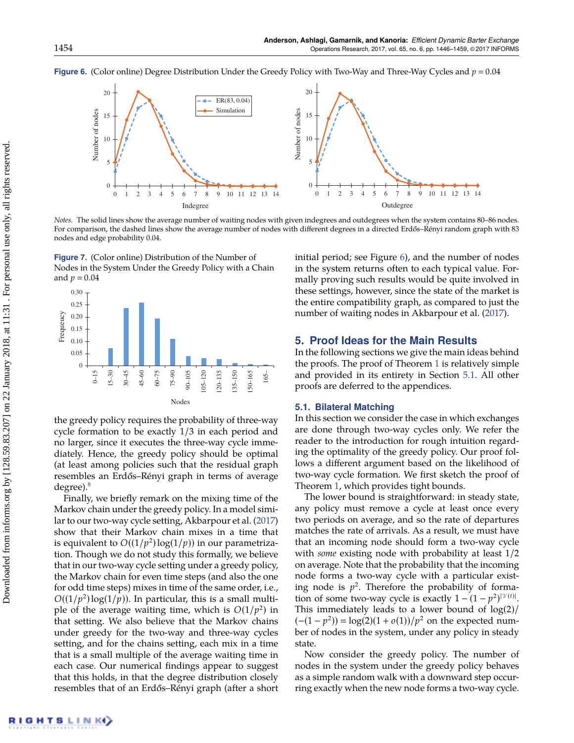<span id="page-9-1"></span>

**Figure 6.** (Color online) Degree Distribution Under the Greedy Policy with Two-Way and Three-Way Cycles and  $p = 0.04$ 

*Notes.* The solid lines show the average number of waiting nodes with given indegrees and outdegrees when the system contains 80–86 nodes. For comparison, the dashed lines show the average number of nodes with different degrees in a directed Erdős–Rényi random graph with 83 nodes and edge probability 0.04.

<span id="page-9-2"></span>**Figure 7.** (Color online) Distribution of the Number of Nodes in the System Under the Greedy Policy with a Chain and  $p = 0.04$ 



the greedy policy requires the probability of three-way cycle formation to be exactly 1/3 in each period and no larger, since it executes the three-way cycle immediately. Hence, the greedy policy should be optimal (at least among policies such that the residual graph resembles an Erdős–Rényi graph in terms of average degree).<sup>[8](#page-13-10)</sup>

<span id="page-9-3"></span>Finally, we briefly remark on the mixing time of the Markov chain under the greedy policy. In a model similar to our two-way cycle setting, Akbarpour et al. [\(2017\)](#page-13-1) show that their Markov chain mixes in a time that is equivalent to  $O((1/p^2) \log(1/p))$  in our parametrization. Though we do not study this formally, we believe that in our two-way cycle setting under a greedy policy, the Markov chain for even time steps (and also the one for odd time steps) mixes in time of the same order, i.e.,  $O((1/p^2) \log(1/p))$ . In particular, this is a small multiple of the average waiting time, which is  $O(1/p^2)$  in that setting. We also believe that the Markov chains under greedy for the two-way and three-way cycles setting, and for the chains setting, each mix in a time that is a small multiple of the average waiting time in each case. Our numerical findings appear to suggest that this holds, in that the degree distribution closely resembles that of an Erdős–Rényi graph (after a short initial period; see Figure [6\)](#page-9-1), and the number of nodes in the system returns often to each typical value. Formally proving such results would be quite involved in these settings, however, since the state of the market is the entire compatibility graph, as compared to just the number of waiting nodes in Akbarpour et al. [\(2017\)](#page-13-1).

# **5. Proof Ideas for the Main Results**

In the following sections we give the main ideas behind the proofs. The proof of Theorem [1](#page-6-0) is relatively simple and provided in its entirety in Section [5.1.](#page-9-0) All other proofs are deferred to the appendices.

### <span id="page-9-0"></span>**5.1. Bilateral Matching**

In this section we consider the case in which exchanges are done through two-way cycles only. We refer the reader to the introduction for rough intuition regarding the optimality of the greedy policy. Our proof follows a different argument based on the likelihood of two-way cycle formation. We first sketch the proof of Theorem [1,](#page-6-0) which provides tight bounds.

The lower bound is straightforward: in steady state, any policy must remove a cycle at least once every two periods on average, and so the rate of departures matches the rate of arrivals. As a result, we must have that an incoming node should form a two-way cycle with *some* existing node with probability at least 1/2 on average. Note that the probability that the incoming node forms a two-way cycle with a particular existing node is  $p^2$ . Therefore the probability of formation of some two-way cycle is exactly  $1 - (1 - p^2)^{|\mathcal{V}(t)|}$ . This immediately leads to a lower bound of  $log(2)$ /  $(-(1-p^2)) = \log(2)(1+o(1))/p^2$  on the expected number of nodes in the system, under any policy in steady state.

Now consider the greedy policy. The number of nodes in the system under the greedy policy behaves as a simple random walk with a downward step occurring exactly when the new node forms a two-way cycle.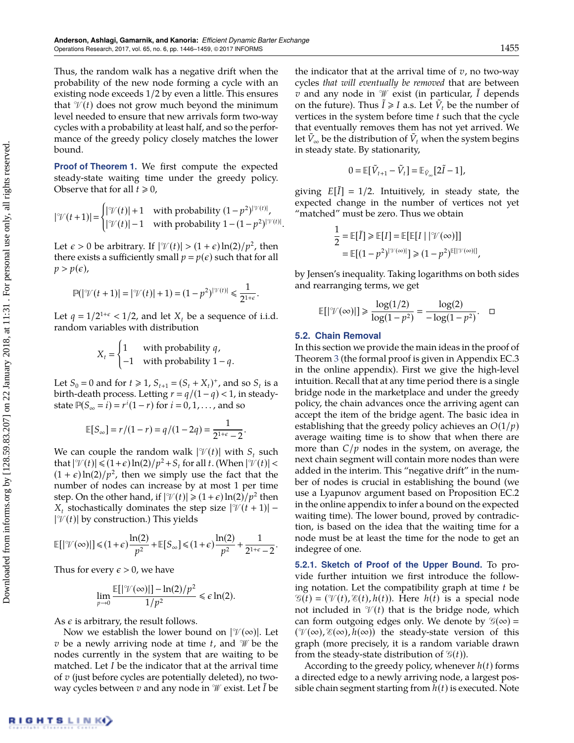Thus, the random walk has a negative drift when the probability of the new node forming a cycle with an existing node exceeds 1/2 by even a little. This ensures that  $\mathcal{V}(t)$  does not grow much beyond the minimum level needed to ensure that new arrivals form two-way cycles with a probability at least half, and so the performance of the greedy policy closely matches the lower bound.

**Proof of Theorem [1.](#page-6-0)** We first compute the expected steady-state waiting time under the greedy policy. Observe that for all  $t \ge 0$ ,

$$
|\mathcal{V}(t+1)| = \begin{cases} |\mathcal{V}(t)| + 1 & \text{with probability } (1 - p^2)^{|\mathcal{V}(t)|}, \\ |\mathcal{V}(t)| - 1 & \text{with probability } 1 - (1 - p^2)^{|\mathcal{V}(t)|}. \end{cases}
$$

Let  $\epsilon > 0$  be arbitrary. If  $|\mathcal{V}(t)| > (1 + \epsilon) \ln(2)/p^2$ , then there exists a sufficiently small  $p = p(\epsilon)$  such that for all  $p > p(\epsilon)$ ,

$$
\mathbb{P}(|\mathcal{V}(t+1)|=|\mathcal{V}(t)|+1)=(1-p^2)^{|\mathcal{V}(t)|}\leq \frac{1}{2^{1+\epsilon}}.
$$

Let  $q = 1/2^{1+\epsilon} < 1/2$ , and let  $X_t$  be a sequence of i.i.d. random variables with distribution

$$
X_t = \begin{cases} 1 & \text{with probability } q, \\ -1 & \text{with probability } 1 - q. \end{cases}
$$

Let  $S_0 = 0$  and for  $t \ge 1$ ,  $S_{t+1} = (S_t + X_t)^+$ , and so  $S_t$  is a birth-death process. Letting  $r = q/(1 - q) < 1$ , in steadystate  $\mathbb{P}(S_{\infty} = i) = r^{i}(1 - r)$  for *i* = 0, 1, . . . , and so

$$
\mathbb{E}[S_{\infty}] = r/(1-r) = q/(1-2q) = \frac{1}{2^{1+\epsilon}-2}.
$$

We can couple the random walk  $|\mathcal{V}(t)|$  with  $S_t$  such that  $|\mathcal{V}(t)| \leq (1+\epsilon)\ln(2)/p^2 + S_t$  for all *t*. (When  $|\mathcal{V}(t)| <$  $(1 + \epsilon) \ln(2)/p^2$ , then we simply use the fact that the number of nodes can increase by at most 1 per time step. On the other hand, if  $|\mathcal{V}(t)| \geqslant (1+\epsilon)\ln(2)/p^2$  then *X*<sup>*t*</sup> stochastically dominates the step size  $|\mathcal{V}(t+1)|$  –  $|\mathcal{V}(t)|$  by construction.) This yields

$$
\mathbb{E}[|\mathcal{V}(\infty)|] \leq (1+\epsilon)\frac{\ln(2)}{p^2} + \mathbb{E}[S_{\infty}] \leq (1+\epsilon)\frac{\ln(2)}{p^2} + \frac{1}{2^{1+\epsilon}-2}.
$$

Thus for every  $\epsilon > 0$ , we have

$$
\lim_{p\to 0}\frac{\mathbb{E}[|\mathcal{V}(\infty)|]-\ln(2)/p^2}{1/p^2}\leq \epsilon\ln(2).
$$

As  $\epsilon$  is arbitrary, the result follows.

Now we establish the lower bound on  $|\mathcal{V}(\infty)|$ . Let *v* be a newly arriving node at time *t*, and *W* be the nodes currently in the system that are waiting to be matched. Let *I* be the indicator that at the arrival time of *v* (just before cycles are potentially deleted), no twoway cycles between *v* and any node in *W* exist. Let *I* be the indicator that at the arrival time of  $v$ , no two-way cycles *that will eventually be removed* that are between *v* and any node in *W* exist (in particular, *I* depends on the future). Thus  $\tilde{I} \geq I$  a.s. Let  $\tilde{V}_t$  be the number of vertices in the system before time *t* such that the cycle that eventually removes them has not yet arrived. We let  $\tilde{V}_\infty$  be the distribution of  $\tilde{V}_t$  when the system begins in steady state. By stationarity,

$$
0 = \mathbb{E}[\tilde{V}_{t+1} - \tilde{V}_t] = \mathbb{E}_{\tilde{V}_{\infty}}[2\tilde{I} - 1],
$$

giving  $E[\tilde{I}] = 1/2$ . Intuitively, in steady state, the expected change in the number of vertices not yet "matched" must be zero. Thus we obtain

$$
\frac{1}{2} = \mathbb{E}[\tilde{I}] \ge \mathbb{E}[I] = \mathbb{E}[\mathbb{E}[I \mid |\mathcal{V}(\infty)]]
$$

$$
= \mathbb{E}[(1 - p^2)^{|\mathcal{V}(\infty)|}] \ge (1 - p^2)^{\mathbb{E}[\mathcal{V}(\infty)]},
$$

by Jensen's inequality. Taking logarithms on both sides and rearranging terms, we get

$$
\mathbb{E}[|\mathcal{V}(\infty)|] \ge \frac{\log(1/2)}{\log(1-p^2)} = \frac{\log(2)}{-\log(1-p^2)}. \quad \Box
$$

#### <span id="page-10-0"></span>**5.2. Chain Removal**

In this section we provide the main ideas in the proof of Theorem [3](#page-7-1) (the formal proof is given in Appendix EC.3 in the online appendix). First we give the high-level intuition. Recall that at any time period there is a single bridge node in the marketplace and under the greedy policy, the chain advances once the arriving agent can accept the item of the bridge agent. The basic idea in establishing that the greedy policy achieves an *O*(1/*p*) average waiting time is to show that when there are more than *C*/*p* nodes in the system, on average, the next chain segment will contain more nodes than were added in the interim. This "negative drift" in the number of nodes is crucial in establishing the bound (we use a Lyapunov argument based on Proposition EC.2 in the online appendix to infer a bound on the expected waiting time). The lower bound, proved by contradiction, is based on the idea that the waiting time for a node must be at least the time for the node to get an indegree of one.

**5.2.1. Sketch of Proof of the Upper Bound.** To provide further intuition we first introduce the following notation. Let the compatibility graph at time *t* be  $\mathcal{G}(t) = (\mathcal{V}(t), \mathcal{E}(t), h(t))$ . Here  $h(t)$  is a special node not included in  $\mathcal{V}(t)$  that is the bridge node, which can form outgoing edges only. We denote by  $\mathcal{G}(\infty)$  =  $(\mathcal{V}(\infty), \mathcal{E}(\infty), h(\infty))$  the steady-state version of this graph (more precisely, it is a random variable drawn from the steady-state distribution of  $\mathcal{G}(t)$ ).

According to the greedy policy, whenever *h*(*t*) forms a directed edge to a newly arriving node, a largest possible chain segment starting from *h*(*t*) is executed. Note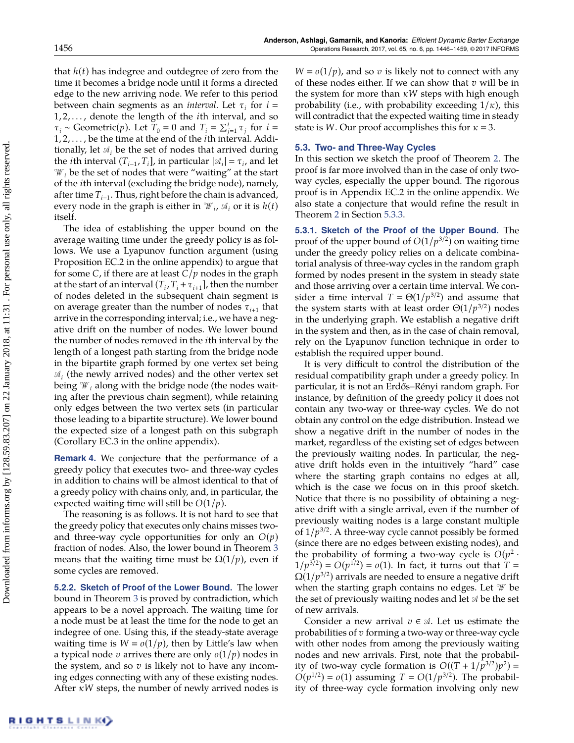that *h*(*t*) has indegree and outdegree of zero from the time it becomes a bridge node until it forms a directed edge to the new arriving node. We refer to this period between chain segments as an *interval*. Let  $\tau_i$  for  $i =$ 1, 2, . . . , denote the length of the *i*th interval, and so  $\tau_i$  ~ Geometric(*p*). Let  $\bar{T}_0 = 0$  and  $T_i = \sum_{j=1}^i \tau_j$  for  $i =$ 1, 2, . . . , be the time at the end of the *i*th interval. Additionally, let  $\mathcal{A}_i$  be the set of nodes that arrived during the *i*th interval  $(T_{i-1}, T_i]$ , in particular  $|\mathcal{A}_i| = \tau_i$ , and let  $\mathcal{W}_i$  be the set of nodes that were "waiting" at the start of the *i*th interval (excluding the bridge node), namely, after time *Ti*−<sup>1</sup> . Thus, right before the chain is advanced, every node in the graph is either in  $\mathcal{W}_i$ ,  $\mathcal{A}_i$  or it is  $h(t)$ itself.

The idea of establishing the upper bound on the average waiting time under the greedy policy is as follows. We use a Lyapunov function argument (using Proposition EC.2 in the online appendix) to argue that for some *C*, if there are at least *C*/*p* nodes in the graph at the start of an interval  $(T_i, T_i + \tau_{i+1}]$ , then the number of nodes deleted in the subsequent chain segment is on average greater than the number of nodes  $\tau_{_{I+1}}$  that arrive in the corresponding interval; i.e., we have a negative drift on the number of nodes. We lower bound the number of nodes removed in the *i*th interval by the length of a longest path starting from the bridge node in the bipartite graph formed by one vertex set being  $\mathcal{A}_i$  (the newly arrived nodes) and the other vertex set being  $\mathcal{W}_i$  along with the bridge node (the nodes waiting after the previous chain segment), while retaining only edges between the two vertex sets (in particular those leading to a bipartite structure). We lower bound the expected size of a longest path on this subgraph (Corollary EC.3 in the online appendix).

<span id="page-11-1"></span>**Remark 4.** We conjecture that the performance of a greedy policy that executes two- and three-way cycles in addition to chains will be almost identical to that of a greedy policy with chains only, and, in particular, the expected waiting time will still be *O*(1/*p*).

The reasoning is as follows. It is not hard to see that the greedy policy that executes only chains misses twoand three-way cycle opportunities for only an *O*(*p*) fraction of nodes. Also, the lower bound in Theorem [3](#page-7-1) means that the waiting time must be  $\Omega(1/p)$ , even if some cycles are removed.

**5.2.2. Sketch of Proof of the Lower Bound.** The lower bound in Theorem [3](#page-7-1) is proved by contradiction, which appears to be a novel approach. The waiting time for a node must be at least the time for the node to get an indegree of one. Using this, if the steady-state average waiting time is  $W = o(1/p)$ , then by Little's law when a typical node *v* arrives there are only  $o(1/p)$  nodes in the system, and so *v* is likely not to have any incoming edges connecting with any of these existing nodes. After κ*W* steps, the number of newly arrived nodes is  $W = o(1/p)$ , and so *v* is likely not to connect with any of these nodes either. If we can show that *v* will be in the system for more than κ*W* steps with high enough probability (i.e., with probability exceeding  $1/\kappa$ ), this will contradict that the expected waiting time in steady state is *W*. Our proof accomplishes this for  $\kappa = 3$ .

### <span id="page-11-0"></span>**5.3. Two- and Three-Way Cycles**

In this section we sketch the proof of Theorem [2.](#page-6-4) The proof is far more involved than in the case of only twoway cycles, especially the upper bound. The rigorous proof is in Appendix EC.2 in the online appendix. We also state a conjecture that would refine the result in Theorem [2](#page-6-4) in Section [5.3.3.](#page-12-2)

**5.3.1. Sketch of the Proof of the Upper Bound.** The proof of the upper bound of  $O(1/p^{3/2})$  on waiting time under the greedy policy relies on a delicate combinatorial analysis of three-way cycles in the random graph formed by nodes present in the system in steady state and those arriving over a certain time interval. We consider a time interval  $T = \Theta(1/p^{3/2})$  and assume that the system starts with at least order  $\Theta(1/p^{3/2})$  nodes in the underlying graph. We establish a negative drift in the system and then, as in the case of chain removal, rely on the Lyapunov function technique in order to establish the required upper bound.

It is very difficult to control the distribution of the residual compatibility graph under a greedy policy. In particular, it is not an Erdős–Rényi random graph. For instance, by definition of the greedy policy it does not contain any two-way or three-way cycles. We do not obtain any control on the edge distribution. Instead we show a negative drift in the number of nodes in the market, regardless of the existing set of edges between the previously waiting nodes. In particular, the negative drift holds even in the intuitively "hard" case where the starting graph contains no edges at all, which is the case we focus on in this proof sketch. Notice that there is no possibility of obtaining a negative drift with a single arrival, even if the number of previously waiting nodes is a large constant multiple of  $1/p^{3/2}$ . A three-way cycle cannot possibly be formed (since there are no edges between existing nodes), and the probability of forming a two-way cycle is  $O(p^2 + p^2)$  $1/p^{3/2}$ ) =  $O(p^{1/2}) = o(1)$ . In fact, it turns out that  $T =$  $\Omega(1/p^{3/2})$  arrivals are needed to ensure a negative drift when the starting graph contains no edges. Let  $W$  be the set of previously waiting nodes and let  $\mathcal A$  be the set of new arrivals.

Consider a new arrival  $v \in \mathcal{A}$ . Let us estimate the probabilities of *v* forming a two-way or three-way cycle with other nodes from among the previously waiting nodes and new arrivals. First, note that the probability of two-way cycle formation is  $O((T + 1/p^{3/2})p^2) =$  $O(p^{1/2}) = o(1)$  assuming *T* =  $O(1/p^{3/2})$ . The probability of three-way cycle formation involving only new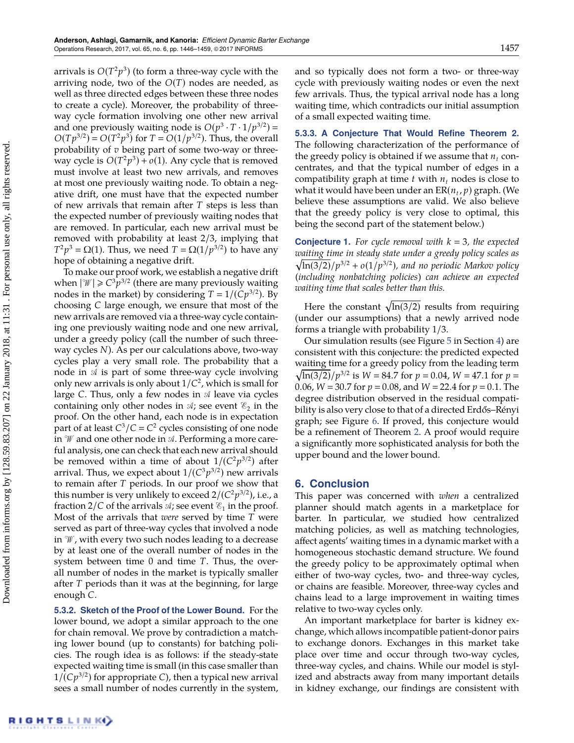arrivals is  $O(T^2p^3)$  (to form a three-way cycle with the arriving node, two of the *O*(*T*) nodes are needed, as well as three directed edges between these three nodes to create a cycle). Moreover, the probability of threeway cycle formation involving one other new arrival and one previously waiting node is  $O(p^3 \cdot T \cdot 1/p^{3/2})$  =  $O(Tp^{3/2}) = O(T^2p^3)$  for  $T = O(1/p^{3/2})$ . Thus, the overall probability of *v* being part of some two-way or threeway cycle is  $O(T^2p^3) + o(1)$ . Any cycle that is removed must involve at least two new arrivals, and removes at most one previously waiting node. To obtain a negative drift, one must have that the expected number of new arrivals that remain after *T* steps is less than the expected number of previously waiting nodes that are removed. In particular, each new arrival must be removed with probability at least 2/3, implying that  $T^2p^3 = \Omega(1)$ . Thus, we need  $T = \Omega(1/p^{3/2})$  to have any hope of obtaining a negative drift.

To make our proof work, we establish a negative drift when  $|\mathcal{W}| \geq C^3 p^{3/2}$  (there are many previously waiting nodes in the market) by considering  $T = 1/(\tilde{C}p^{3/2})$ . By choosing *C* large enough, we ensure that most of the new arrivals are removed via a three-way cycle containing one previously waiting node and one new arrival, under a greedy policy (call the number of such threeway cycles *N*). As per our calculations above, two-way cycles play a very small role. The probability that a node in  $A$  is part of some three-way cycle involving only new arrivals is only about 1/*C* 2 , which is small for large *C*. Thus, only a few nodes in  $\mathcal A$  leave via cycles containing only other nodes in  $\mathcal{A}$ ; see event  $\mathcal{E}_2$  in the proof. On the other hand, each node is in expectation part of at least  $C^3/C = C^2$  cycles consisting of one node in  $W$  and one other node in  $A$ . Performing a more careful analysis, one can check that each new arrival should be removed within a time of about  $1/(C^2p^{3/2})$  after arrival. Thus, we expect about  $1/(C^3p^{3/2})$  new arrivals to remain after *T* periods. In our proof we show that this number is very unlikely to exceed  $2/(C^2p^{3/2})$ , i.e., a fraction 2/*C* of the arrivals  $\mathcal{A}$ ; see event  $\mathcal{E}_1$  in the proof. Most of the arrivals that *were* served by time *T* were served as part of three-way cycles that involved a node in  $\mathcal W$ , with every two such nodes leading to a decrease by at least one of the overall number of nodes in the system between time 0 and time *T*. Thus, the overall number of nodes in the market is typically smaller after *T* periods than it was at the beginning, for large enough *C*.

**5.3.2. Sketch of the Proof of the Lower Bound.** For the lower bound, we adopt a similar approach to the one for chain removal. We prove by contradiction a matching lower bound (up to constants) for batching policies. The rough idea is as follows: if the steady-state expected waiting time is small (in this case smaller than  $1/(\mathbb{C} p^{3/2})$  for appropriate *C*), then a typical new arrival sees a small number of nodes currently in the system,

and so typically does not form a two- or three-way cycle with previously waiting nodes or even the next few arrivals. Thus, the typical arrival node has a long waiting time, which contradicts our initial assumption of a small expected waiting time.

<span id="page-12-2"></span>**5.3.3. A Conjecture That Would Refine Theorem [2.](#page-6-4)** The following characterization of the performance of the greedy policy is obtained if we assume that  $n_t$  concentrates, and that the typical number of edges in a compatibility graph at time  $t$  with  $n_t$  nodes is close to what it would have been under an ER(*n<sup>t</sup>* , *p*) graph. (We believe these assumptions are valid. We also believe that the greedy policy is very close to optimal, this being the second part of the statement below.)

<span id="page-12-1"></span>**Conjecture 1.** For cycle removal with  $k = 3$ , the expected *waiting time in steady state under a greedy policy scales as*  $\sqrt{\ln(3/2)}/p^{3/2} + o(1/p^{3/2})$ , and no periodic Markov policy *(including nonbatching policies) can achieve an expected waiting time that scales better than this.*

Here the constant  $\sqrt{\ln(3/2)}$  results from requiring (under our assumptions) that a newly arrived node forms a triangle with probability 1/3.

Our simulation results (see Figure [5](#page-8-0) in Section [4\)](#page-7-0) are consistent with this conjecture: the predicted expected waiting time for a greedy policy from the leading term  $\sqrt{\ln(3/2)}/p^{3/2}$  is  $W = 84.7$  for  $p = 0.04$ ,  $W = 47.1$  for  $p =$ 0.06,  $W = 30.7$  for  $p = 0.08$ , and  $W = 22.4$  for  $p = 0.1$ . The degree distribution observed in the residual compatibility is also very close to that of a directed Erdős–Rényi graph; see Figure [6.](#page-9-1) If proved, this conjecture would be a refinement of Theorem [2.](#page-6-4) A proof would require a significantly more sophisticated analysis for both the upper bound and the lower bound.

### <span id="page-12-0"></span>**6. Conclusion**

This paper was concerned with *when* a centralized planner should match agents in a marketplace for barter. In particular, we studied how centralized matching policies, as well as matching technologies, affect agents' waiting times in a dynamic market with a homogeneous stochastic demand structure. We found the greedy policy to be approximately optimal when either of two-way cycles, two- and three-way cycles, or chains are feasible. Moreover, three-way cycles and chains lead to a large improvement in waiting times relative to two-way cycles only.

An important marketplace for barter is kidney exchange, which allows incompatible patient-donor pairs to exchange donors. Exchanges in this market take place over time and occur through two-way cycles, three-way cycles, and chains. While our model is stylized and abstracts away from many important details in kidney exchange, our findings are consistent with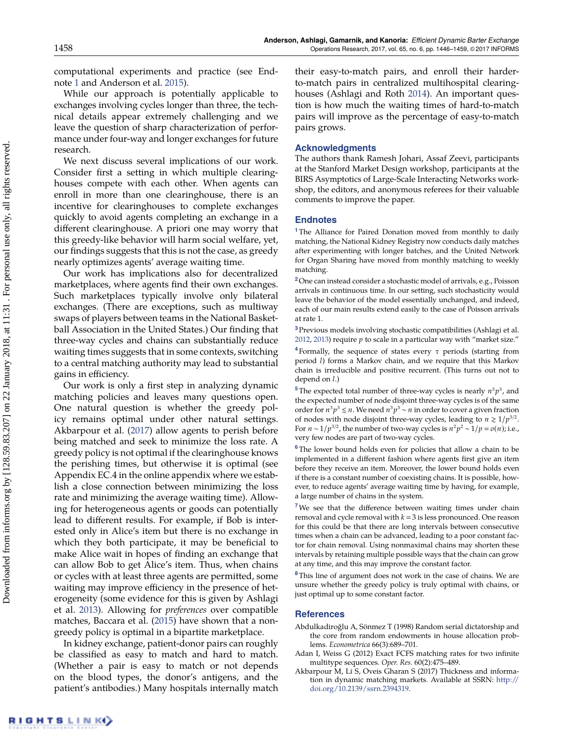computational experiments and practice (see Endnote [1](#page-13-0) and Anderson et al. [2015\)](#page-14-2).

While our approach is potentially applicable to exchanges involving cycles longer than three, the technical details appear extremely challenging and we leave the question of sharp characterization of performance under four-way and longer exchanges for future research.

We next discuss several implications of our work. Consider first a setting in which multiple clearinghouses compete with each other. When agents can enroll in more than one clearinghouse, there is an incentive for clearinghouses to complete exchanges quickly to avoid agents completing an exchange in a different clearinghouse. A priori one may worry that this greedy-like behavior will harm social welfare, yet, our findings suggests that this is not the case, as greedy nearly optimizes agents' average waiting time.

Our work has implications also for decentralized marketplaces, where agents find their own exchanges. Such marketplaces typically involve only bilateral exchanges. (There are exceptions, such as multiway swaps of players between teams in the National Basketball Association in the United States.) Our finding that three-way cycles and chains can substantially reduce waiting times suggests that in some contexts, switching to a central matching authority may lead to substantial gains in efficiency.

Our work is only a first step in analyzing dynamic matching policies and leaves many questions open. One natural question is whether the greedy policy remains optimal under other natural settings. Akbarpour et al. [\(2017\)](#page-13-1) allow agents to perish before being matched and seek to minimize the loss rate. A greedy policy is not optimal if the clearinghouse knows the perishing times, but otherwise it is optimal (see Appendix EC.4 in the online appendix where we establish a close connection between minimizing the loss rate and minimizing the average waiting time). Allowing for heterogeneous agents or goods can potentially lead to different results. For example, if Bob is interested only in Alice's item but there is no exchange in which they both participate, it may be beneficial to make Alice wait in hopes of finding an exchange that can allow Bob to get Alice's item. Thus, when chains or cycles with at least three agents are permitted, some waiting may improve efficiency in the presence of heterogeneity (some evidence for this is given by Ashlagi et al. [2013\)](#page-14-6). Allowing for *preferences* over compatible matches, Baccara et al. [\(2015\)](#page-14-28) have shown that a nongreedy policy is optimal in a bipartite marketplace.

In kidney exchange, patient-donor pairs can roughly be classified as easy to match and hard to match. (Whether a pair is easy to match or not depends on the blood types, the donor's antigens, and the patient's antibodies.) Many hospitals internally match their easy-to-match pairs, and enroll their harderto-match pairs in centralized multihospital clearinghouses (Ashlagi and Roth [2014\)](#page-14-29). An important question is how much the waiting times of hard-to-match pairs will improve as the percentage of easy-to-match pairs grows.

#### **Acknowledgments**

The authors thank Ramesh Johari, Assaf Zeevi, participants at the Stanford Market Design workshop, participants at the BIRS Asymptotics of Large-Scale Interacting Networks workshop, the editors, and anonymous referees for their valuable comments to improve the paper.

#### **Endnotes**

<span id="page-13-0"></span>**[1](#page-1-0)**The Alliance for Paired Donation moved from monthly to daily matching, the National Kidney Registry now conducts daily matches after experimenting with longer batches, and the United Network for Organ Sharing have moved from monthly matching to weekly matching.

<span id="page-13-4"></span>**[2](#page-4-1)**One can instead consider a stochastic model of arrivals, e.g., Poisson arrivals in continuous time. In our setting, such stochasticity would leave the behavior of the model essentially unchanged, and indeed, each of our main results extend easily to the case of Poisson arrivals at rate 1.

<span id="page-13-5"></span>**[3](#page-5-2)**Previous models involving stochastic compatibilities (Ashlagi et al. [2012,](#page-14-5) [2013\)](#page-14-6) require *p* to scale in a particular way with "market size."

<span id="page-13-6"></span>**[4](#page-5-3)** Formally, the sequence of states every τ periods (starting from period *l*) forms a Markov chain, and we require that this Markov chain is irreducible and positive recurrent. (This turns out not to depend on *l*.)

<span id="page-13-7"></span><sup>[5](#page-7-2)</sup>The expected total number of three-way cycles is nearly  $n^3p^3$ , and the expected number of node disjoint three-way cycles is of the same order for  $n^3p^3$  ≲ *n*. We need  $n^3p^3$  ∼ *n* in order to cover a given fraction of nodes with node disjoint three-way cycles, leading to  $n \geq 1/p^{3/2}$ . For *n* ~  $1/p^{3/2}$ , the number of two-way cycles is  $n^2p^2 \sim 1/p = o(n)$ ; i.e., very few nodes are part of two-way cycles.

<span id="page-13-8"></span>**[6](#page-7-3)**The lower bound holds even for policies that allow a chain to be implemented in a different fashion where agents first give an item before they receive an item. Moreover, the lower bound holds even if there is a constant number of coexisting chains. It is possible, however, to reduce agents' average waiting time by having, for example, a large number of chains in the system.

<span id="page-13-9"></span><sup>[7](#page-7-4)</sup>We see that the difference between waiting times under chain removal and cycle removal with  $k = 3$  is less pronounced. One reason for this could be that there are long intervals between consecutive times when a chain can be advanced, leading to a poor constant factor for chain removal. Using nonmaximal chains may shorten these intervals by retaining multiple possible ways that the chain can grow at any time, and this may improve the constant factor.

<span id="page-13-10"></span>**[8](#page-9-3)**This line of argument does not work in the case of chains. We are unsure whether the greedy policy is truly optimal with chains, or just optimal up to some constant factor.

#### **References**

- <span id="page-13-3"></span>Abdulkadiroğlu A, Sönmez T (1998) Random serial dictatorship and the core from random endowments in house allocation problems. *Econometrica* 66(3):689–701.
- <span id="page-13-2"></span>Adan I, Weiss G (2012) Exact FCFS matching rates for two infinite multitype sequences. *Oper. Res.* 60(2):475–489.
- <span id="page-13-1"></span>Akbarpour M, Li S, Oveis Gharan S (2017) Thickness and information in dynamic matching markets. Available at SSRN: [http://](http://doi.org/10.2139/ssrn.2394319) [doi.org/10.2139/ssrn.2394319.](http://doi.org/10.2139/ssrn.2394319)